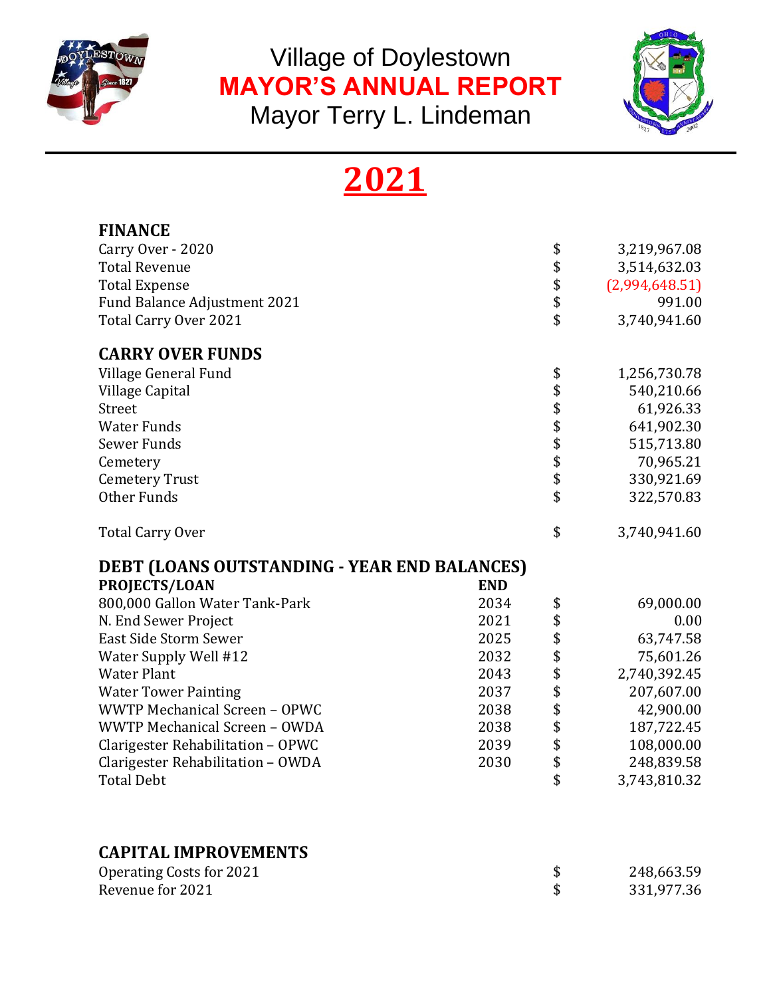

Village of Doylestown **MAYOR'S ANNUAL REPORT**  Mayor Terry L. Lindeman



# **2021**

| <b>FINANCE</b>                                  |                |
|-------------------------------------------------|----------------|
| \$<br>Carry Over - 2020                         | 3,219,967.08   |
| \$<br><b>Total Revenue</b>                      | 3,514,632.03   |
| <b>Total Expense</b>                            | (2,994,648.51) |
| \$<br>\$<br>Fund Balance Adjustment 2021        | 991.00         |
| \$<br>Total Carry Over 2021                     | 3,740,941.60   |
| <b>CARRY OVER FUNDS</b>                         |                |
| Village General Fund<br>\$                      | 1,256,730.78   |
| Village Capital                                 | 540,210.66     |
| \$<br>\$<br>Street                              | 61,926.33      |
| <b>Water Funds</b>                              | 641,902.30     |
| \$\$\$\$<br>Sewer Funds                         | 515,713.80     |
| Cemetery                                        | 70,965.21      |
| <b>Cemetery Trust</b>                           | 330,921.69     |
| \$<br>Other Funds                               | 322,570.83     |
| \$<br><b>Total Carry Over</b>                   | 3,740,941.60   |
| DEBT (LOANS OUTSTANDING - YEAR END BALANCES)    |                |
| <b>PROJECTS/LOAN</b><br><b>END</b>              |                |
| 800,000 Gallon Water Tank-Park<br>2034<br>\$    | 69,000.00      |
| \$<br>2021<br>N. End Sewer Project              | 0.00           |
| \$<br>East Side Storm Sewer<br>2025             | 63,747.58      |
| \$<br>Water Supply Well #12<br>2032             | 75,601.26      |
| \$<br><b>Water Plant</b><br>2043                | 2,740,392.45   |
| \$<br><b>Water Tower Painting</b><br>2037       | 207,607.00     |
| \$<br>WWTP Mechanical Screen - OPWC<br>2038     | 42,900.00      |
| \$<br>WWTP Mechanical Screen - OWDA<br>2038     | 187,722.45     |
| \$<br>Clarigester Rehabilitation - OPWC<br>2039 | 108,000.00     |
| \$<br>Clarigester Rehabilitation - OWDA<br>2030 | 248,839.58     |
| \$<br><b>Total Debt</b>                         | 3,743,810.32   |
| <b>CAPITAL IMPROVEMENTS</b>                     |                |
| <b>Operating Costs for 2021</b><br>\$           | 248,663.59     |
|                                                 |                |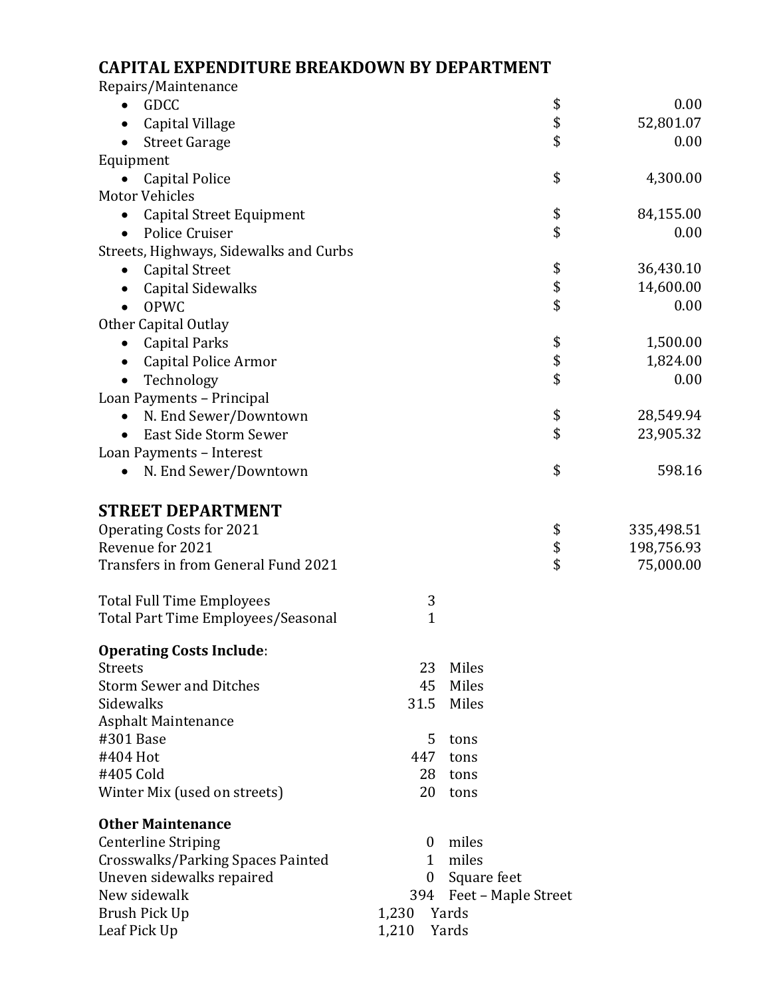# **CAPITAL EXPENDITURE BREAKDOWN BY DEPARTMENT**

| Repairs/Maintenance                    |                |                         |                  |
|----------------------------------------|----------------|-------------------------|------------------|
| <b>GDCC</b>                            |                |                         | \$<br>0.00       |
| Capital Village                        |                |                         | \$<br>52,801.07  |
| <b>Street Garage</b>                   |                |                         | \$<br>0.00       |
| Equipment                              |                |                         |                  |
| <b>Capital Police</b>                  |                |                         | \$<br>4,300.00   |
| <b>Motor Vehicles</b>                  |                |                         |                  |
| Capital Street Equipment<br>٠          |                |                         | \$<br>84,155.00  |
| Police Cruiser                         |                |                         | \$<br>0.00       |
| Streets, Highways, Sidewalks and Curbs |                |                         |                  |
| <b>Capital Street</b>                  |                |                         | \$<br>36,430.10  |
| <b>Capital Sidewalks</b>               |                |                         | \$<br>14,600.00  |
| <b>OPWC</b>                            |                |                         | \$<br>0.00       |
| Other Capital Outlay                   |                |                         |                  |
| <b>Capital Parks</b>                   |                |                         | \$<br>1,500.00   |
| Capital Police Armor                   |                |                         | \$<br>1,824.00   |
| Technology                             |                |                         | \$<br>0.00       |
| Loan Payments - Principal              |                |                         |                  |
| N. End Sewer/Downtown<br>$\bullet$     |                |                         | \$<br>28,549.94  |
| East Side Storm Sewer                  |                |                         | \$<br>23,905.32  |
|                                        |                |                         |                  |
| Loan Payments - Interest               |                |                         | \$<br>598.16     |
| N. End Sewer/Downtown                  |                |                         |                  |
|                                        |                |                         |                  |
| <b>STREET DEPARTMENT</b>               |                |                         |                  |
| <b>Operating Costs for 2021</b>        |                |                         | 335,498.51<br>\$ |
| Revenue for 2021                       |                |                         | \$<br>198,756.93 |
| Transfers in from General Fund 2021    |                |                         | \$<br>75,000.00  |
|                                        |                |                         |                  |
| <b>Total Full Time Employees</b>       | 3              |                         |                  |
| Total Part Time Employees/Seasonal     | $\mathbf{1}$   |                         |                  |
| <b>Operating Costs Include:</b>        |                |                         |                  |
| <b>Streets</b>                         | 23             | Miles                   |                  |
| <b>Storm Sewer and Ditches</b>         | 45             | Miles                   |                  |
| Sidewalks                              | 31.5           | Miles                   |                  |
| <b>Asphalt Maintenance</b>             |                |                         |                  |
| #301 Base                              | 5              | tons                    |                  |
| #404 Hot                               | 447            | tons                    |                  |
| #405 Cold                              | 28.            | tons                    |                  |
| Winter Mix (used on streets)           | 20             | tons                    |                  |
|                                        |                |                         |                  |
| <b>Other Maintenance</b>               |                |                         |                  |
| <b>Centerline Striping</b>             | $\bf{0}$       | miles                   |                  |
| Crosswalks/Parking Spaces Painted      | $\mathbf{1}$   | miles                   |                  |
| Uneven sidewalks repaired              | $\overline{0}$ | Square feet             |                  |
| New sidewalk                           |                | 394 Feet – Maple Street |                  |
| Brush Pick Up                          | 1,230          | Yards                   |                  |
| Leaf Pick Up                           | 1,210          | Yards                   |                  |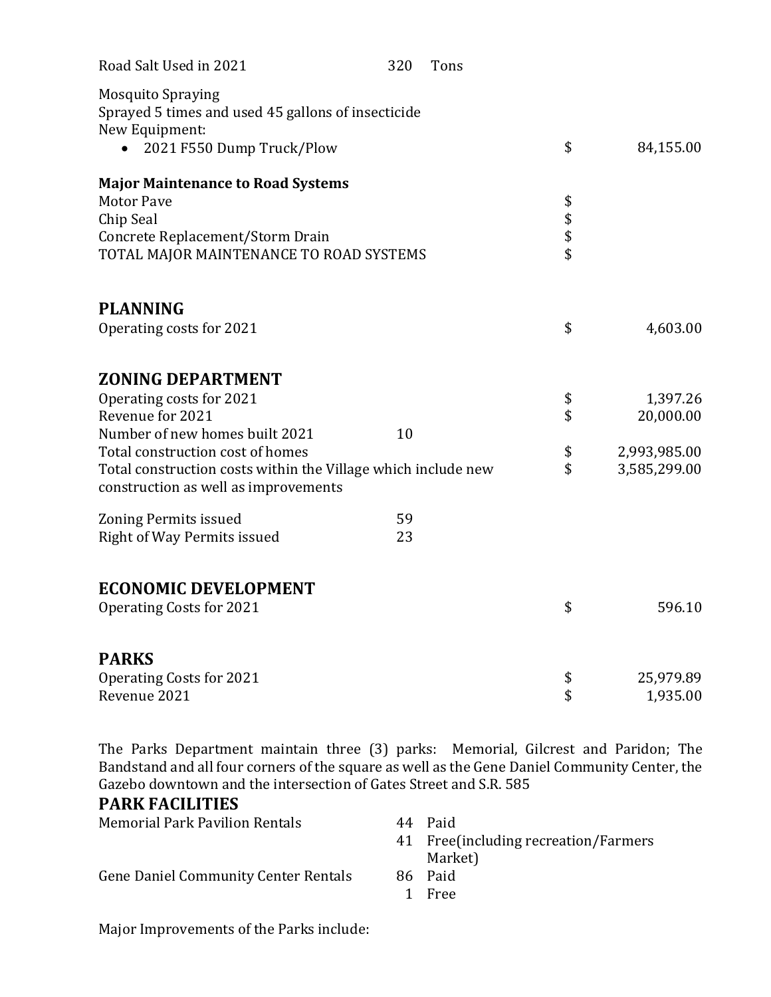| Road Salt Used in 2021                                                                                                                                    | 320 | Tons |              |              |
|-----------------------------------------------------------------------------------------------------------------------------------------------------------|-----|------|--------------|--------------|
| <b>Mosquito Spraying</b><br>Sprayed 5 times and used 45 gallons of insecticide<br>New Equipment:<br>2021 F550 Dump Truck/Plow                             |     |      | \$           | 84,155.00    |
| <b>Major Maintenance to Road Systems</b><br><b>Motor Pave</b><br>Chip Seal<br>Concrete Replacement/Storm Drain<br>TOTAL MAJOR MAINTENANCE TO ROAD SYSTEMS |     |      | \$<br>\$\$\$ |              |
| <b>PLANNING</b>                                                                                                                                           |     |      |              |              |
| Operating costs for 2021                                                                                                                                  |     |      | \$           | 4,603.00     |
| <b>ZONING DEPARTMENT</b>                                                                                                                                  |     |      |              |              |
| Operating costs for 2021                                                                                                                                  |     |      | \$           | 1,397.26     |
| Revenue for 2021                                                                                                                                          |     |      | \$           | 20,000.00    |
| Number of new homes built 2021                                                                                                                            | 10  |      |              |              |
| Total construction cost of homes                                                                                                                          |     |      | \$           | 2,993,985.00 |
| Total construction costs within the Village which include new<br>construction as well as improvements                                                     |     |      | \$           | 3,585,299.00 |
| <b>Zoning Permits issued</b>                                                                                                                              | 59  |      |              |              |
| Right of Way Permits issued                                                                                                                               | 23  |      |              |              |
| <b>ECONOMIC DEVELOPMENT</b><br><b>Operating Costs for 2021</b>                                                                                            |     |      | \$           | 596.10       |
| <b>PARKS</b>                                                                                                                                              |     |      |              |              |
| <b>Operating Costs for 2021</b>                                                                                                                           |     |      | \$           | 25,979.89    |
| Revenue 2021                                                                                                                                              |     |      | \$           | 1,935.00     |

The Parks Department maintain three (3) parks: Memorial, Gilcrest and Paridon; The Bandstand and all four corners of the square as well as the Gene Daniel Community Center, the Gazebo downtown and the intersection of Gates Street and S.R. 585

### **PARK FACILITIES**

| <b>Memorial Park Pavilion Rentals</b>       | 44  | Paid<br>41 Free(including recreation/Farmers<br>Market) |
|---------------------------------------------|-----|---------------------------------------------------------|
| <b>Gene Daniel Community Center Rentals</b> | 86- | Paid<br>1 Free                                          |

Major Improvements of the Parks include: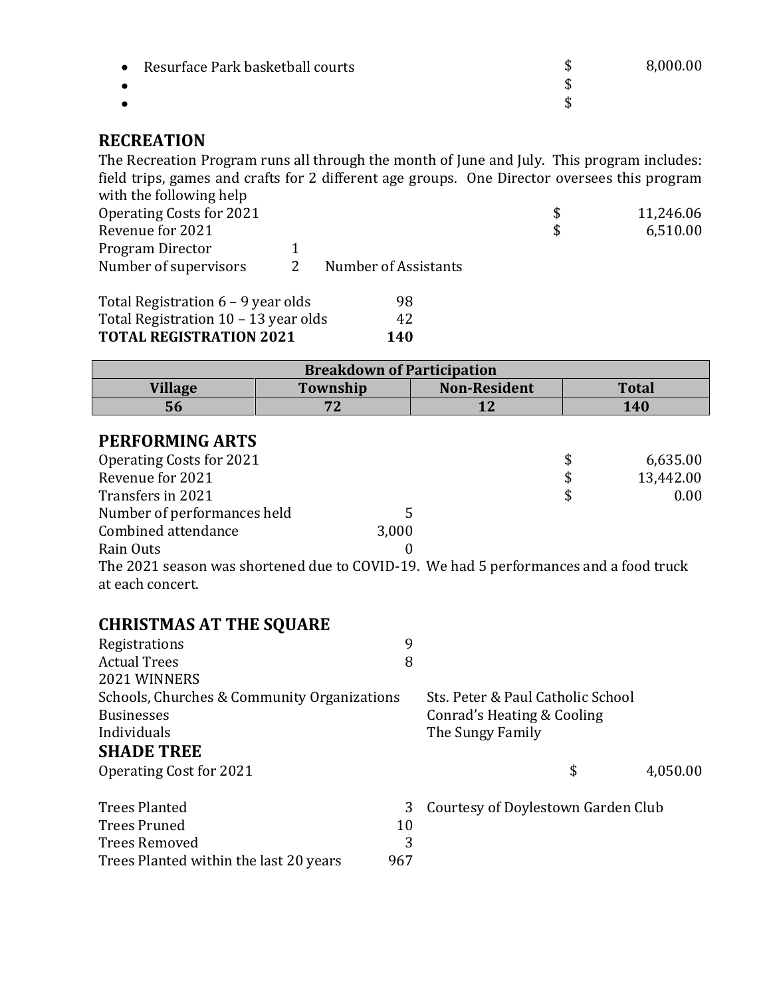| Resurface Park basketball courts<br>$\bullet$ | 8,000.00 |
|-----------------------------------------------|----------|
|                                               |          |
|                                               |          |
|                                               |          |

# **RECREATION**

The Recreation Program runs all through the month of June and July. This program includes: field trips, games and crafts for 2 different age groups. One Director oversees this program with the following help

| $\ldots$<br>Operating Costs for 2021 |                      | -S | 11,246.06 |
|--------------------------------------|----------------------|----|-----------|
| Revenue for 2021                     |                      |    | 6,510.00  |
| Program Director                     |                      |    |           |
| Number of supervisors                | Number of Assistants |    |           |
| Total Registration 6 – 9 year olds   | 98                   |    |           |

| <b>TOTAL REGISTRATION 2021</b>       | 140 |
|--------------------------------------|-----|
| Total Registration 10 – 13 year olds | 42  |
| Total Registration $6 - 9$ year olds | 98  |

| <b>Breakdown of Participation</b> |          |                     |              |
|-----------------------------------|----------|---------------------|--------------|
| <b>Village</b>                    | Township | <b>Non-Resident</b> | <b>Total</b> |
| 56                                |          | 17                  | 140          |

| \$                                                                                    | 6,635.00  |
|---------------------------------------------------------------------------------------|-----------|
| \$                                                                                    | 13,442.00 |
| \$                                                                                    | 0.00      |
|                                                                                       |           |
|                                                                                       |           |
|                                                                                       |           |
| The 2021 season was shortened due to COVID-19. We had 5 performances and a food truck |           |
|                                                                                       |           |
|                                                                                       |           |

| <b>CHRISTMAS AT THE SQUARE</b>              |     |                                    |
|---------------------------------------------|-----|------------------------------------|
| Registrations                               | 9   |                                    |
| <b>Actual Trees</b>                         | 8   |                                    |
| 2021 WINNERS                                |     |                                    |
| Schools, Churches & Community Organizations |     | Sts. Peter & Paul Catholic School  |
| <b>Businesses</b>                           |     | Conrad's Heating & Cooling         |
| Individuals                                 |     | The Sungy Family                   |
| <b>SHADE TREE</b>                           |     |                                    |
| Operating Cost for 2021                     |     | \$<br>4,050.00                     |
| <b>Trees Planted</b>                        | 3   | Courtesy of Doylestown Garden Club |
| <b>Trees Pruned</b>                         | 10  |                                    |
| <b>Trees Removed</b>                        | 3   |                                    |
| Trees Planted within the last 20 years      | 967 |                                    |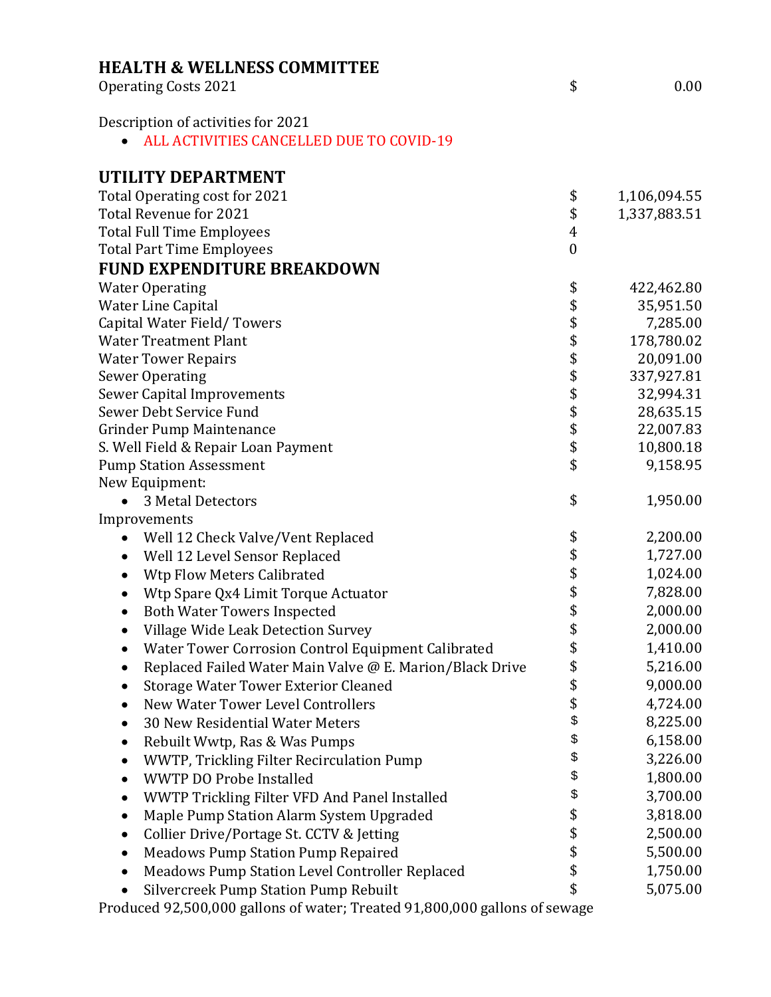| <b>HEALTH &amp; WELLNESS COMMITTEE</b>                     |                  |              |
|------------------------------------------------------------|------------------|--------------|
| <b>Operating Costs 2021</b>                                | \$               | 0.00         |
| Description of activities for 2021                         |                  |              |
| ALL ACTIVITIES CANCELLED DUE TO COVID-19                   |                  |              |
| UTILITY DEPARTMENT                                         |                  |              |
| Total Operating cost for 2021                              | \$               | 1,106,094.55 |
| Total Revenue for 2021                                     | \$               | 1,337,883.51 |
| <b>Total Full Time Employees</b>                           | $\overline{4}$   |              |
| <b>Total Part Time Employees</b>                           | $\boldsymbol{0}$ |              |
| <b>FUND EXPENDITURE BREAKDOWN</b>                          |                  |              |
| <b>Water Operating</b>                                     | \$               | 422,462.80   |
| Water Line Capital                                         | \$               | 35,951.50    |
| Capital Water Field/Towers                                 | \$               | 7,285.00     |
| <b>Water Treatment Plant</b>                               | \$               | 178,780.02   |
| <b>Water Tower Repairs</b>                                 | \$               | 20,091.00    |
| <b>Sewer Operating</b>                                     | \$               | 337,927.81   |
| <b>Sewer Capital Improvements</b>                          | \$               | 32,994.31    |
| Sewer Debt Service Fund                                    | \$               | 28,635.15    |
| <b>Grinder Pump Maintenance</b>                            | \$               | 22,007.83    |
| S. Well Field & Repair Loan Payment                        | \$               | 10,800.18    |
| <b>Pump Station Assessment</b>                             | \$               | 9,158.95     |
| New Equipment:                                             |                  |              |
| 3 Metal Detectors                                          | \$               | 1,950.00     |
| Improvements                                               |                  |              |
| Well 12 Check Valve/Vent Replaced<br>$\bullet$             | \$               | 2,200.00     |
| Well 12 Level Sensor Replaced<br>٠                         | \$               | 1,727.00     |
| Wtp Flow Meters Calibrated<br>$\bullet$                    | \$               | 1,024.00     |
| Wtp Spare Qx4 Limit Torque Actuator<br>$\bullet$           | \$               | 7,828.00     |
| <b>Both Water Towers Inspected</b><br>٠                    | \$               | 2,000.00     |
| Village Wide Leak Detection Survey                         | \$               | 2,000.00     |
| Water Tower Corrosion Control Equipment Calibrated         | \$               | 1,410.00     |
| Replaced Failed Water Main Valve @ E. Marion/Black Drive   | \$               | 5,216.00     |
| <b>Storage Water Tower Exterior Cleaned</b>                | \$               | 9,000.00     |
| New Water Tower Level Controllers<br>$\bullet$             | \$               | 4,724.00     |
| 30 New Residential Water Meters                            | \$               | 8,225.00     |
| Rebuilt Wwtp, Ras & Was Pumps<br>٠                         | \$               | 6,158.00     |
| WWTP, Trickling Filter Recirculation Pump<br>$\bullet$     | \$               | 3,226.00     |
| <b>WWTP DO Probe Installed</b><br>$\bullet$                | \$               | 1,800.00     |
| WWTP Trickling Filter VFD And Panel Installed<br>$\bullet$ | \$               | 3,700.00     |
| Maple Pump Station Alarm System Upgraded<br>$\bullet$      | \$               | 3,818.00     |
| Collier Drive/Portage St. CCTV & Jetting<br>$\bullet$      | \$               | 2,500.00     |
| <b>Meadows Pump Station Pump Repaired</b>                  | \$               | 5,500.00     |
| Meadows Pump Station Level Controller Replaced             | ¢                | 1750.00      |

• Meadows Pump Station Level Controller Replaced \$ 1,750.00 • Silvercreek Pump Station Pump Rebuilt \$ 5,075.00

Produced 92,500,000 gallons of water; Treated 91,800,000 gallons of sewage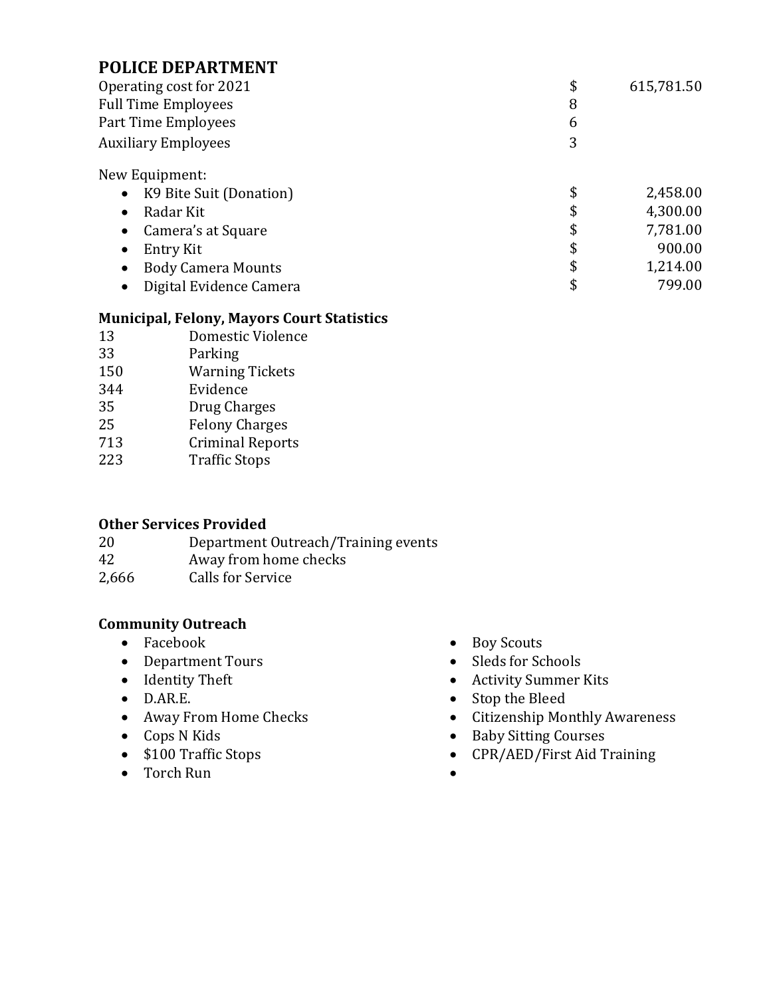# **POLICE DEPARTMENT**

| Operating cost for 2021              | \$ | 615,781.50 |
|--------------------------------------|----|------------|
| <b>Full Time Employees</b>           | 8  |            |
| Part Time Employees                  | 6  |            |
| <b>Auxiliary Employees</b>           | 3  |            |
| New Equipment:                       |    |            |
| K9 Bite Suit (Donation)<br>$\bullet$ | \$ | 2,458.00   |
| Radar Kit<br>$\bullet$               | \$ | 4,300.00   |
| Camera's at Square<br>$\bullet$      | \$ | 7,781.00   |
| Entry Kit<br>٠                       | \$ | 900.00     |
| <b>Body Camera Mounts</b>            | \$ | 1,214.00   |

• Digital Evidence Camera **\$** 799.00

### **Municipal, Felony, Mayors Court Statistics**

- 13 Domestic Violence
- 33 Parking
- 150 Warning Tickets
- 344 Evidence
- 35 Drug Charges
- 25 Felony Charges
- 713 Criminal Reports
- 223 Traffic Stops

## **Other Services Provided**

| 20    | Department Outreach/Training events |
|-------|-------------------------------------|
| 42    | Away from home checks               |
| 2,666 | Calls for Service                   |

## **Community Outreach**

- 
- Department Tours Sleds for Schools
- 
- 
- 
- 
- 
- Torch Run
- Facebook Boy Scouts
	-
- Identity Theft Activity Summer Kits
- D.AR.E. Stop the Bleed
- Away From Home Checks Citizenship Monthly Awareness
- Cops N Kids Baby Sitting Courses
- \$100 Traffic Stops CPR/AED/First Aid Training
	-